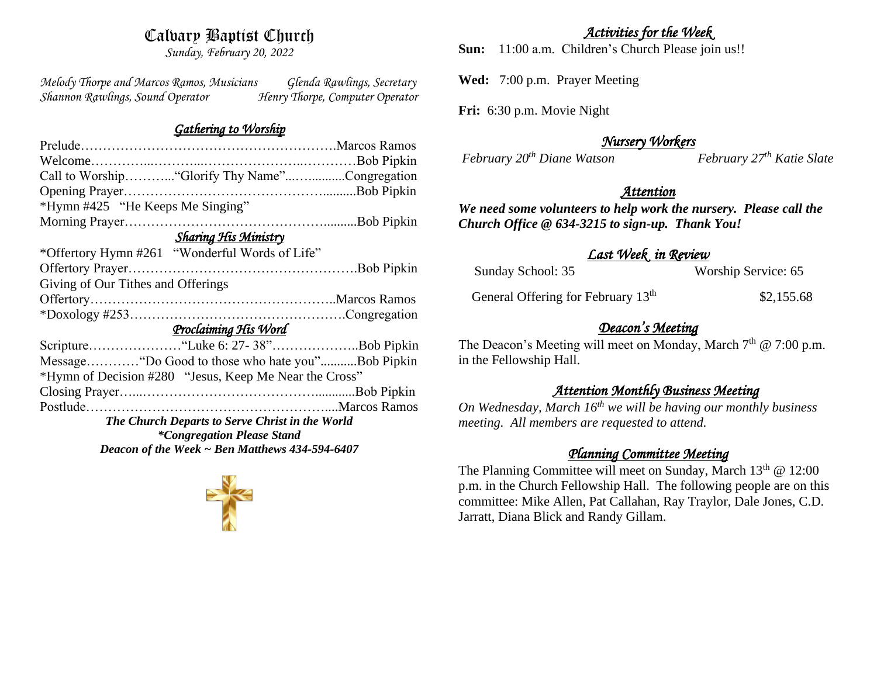# Calvary Baptist Church

*Sunday, February 20, 2022*

*Melody Thorpe and Marcos Ramos, Musicians Glenda Rawlings, Secretary Shannon Rawlings, Sound Operator Henry Thorpe, Computer Operator* 

## *Gathering to Worship*

| Call to Worship "Glorify Thy Name"Congregation         |  |  |
|--------------------------------------------------------|--|--|
|                                                        |  |  |
| *Hymn #425 "He Keeps Me Singing"                       |  |  |
|                                                        |  |  |
| <b>Sharing His Ministry</b>                            |  |  |
| *Offertory Hymn #261 "Wonderful Words of Life"         |  |  |
|                                                        |  |  |
| Giving of Our Tithes and Offerings                     |  |  |
|                                                        |  |  |
|                                                        |  |  |
| Proclaiming His Word                                   |  |  |
|                                                        |  |  |
| MessageDo Good to those who hate you"Bob Pipkin        |  |  |
| *Hymn of Decision #280 "Jesus, Keep Me Near the Cross" |  |  |
|                                                        |  |  |
|                                                        |  |  |
| The Church Departs to Serve Christ in the World        |  |  |
| <i>*Congregation Please Stand</i>                      |  |  |
| Deacon of the Week $\sim$ Ben Matthews 434-594-6407    |  |  |
|                                                        |  |  |



# *Activities for the Week*

**Sun:** 11:00 a.m. Children's Church Please join us!!

**Wed:** 7:00 p.m. Prayer Meeting

**Fri:** 6:30 p.m. Movie Night

*February*  $20<sup>th</sup>$  *Diane Watson* 

*Nursery Workers* 

# *Attention*

*We need some volunteers to help work the nursery. Please call the Church Office @ 634-3215 to sign-up. Thank You!*

# *Last Week in Review*

| Sunday School: 35                              | Worship Service: 65 |
|------------------------------------------------|---------------------|
| General Offering for February 13 <sup>th</sup> | \$2,155.68          |

# *Deacon's Meeting*

The Deacon's Meeting will meet on Monday, March  $7<sup>th</sup>$  @ 7:00 p.m. in the Fellowship Hall.

# *Attention Monthly Business Meeting*

*On Wednesday, March 16th we will be having our monthly business meeting. All members are requested to attend.* 

# *Planning Committee Meeting*

The Planning Committee will meet on Sunday, March  $13<sup>th</sup>$  @ 12:00 p.m. in the Church Fellowship Hall. The following people are on this committee: Mike Allen, Pat Callahan, Ray Traylor, Dale Jones, C.D. Jarratt, Diana Blick and Randy Gillam.